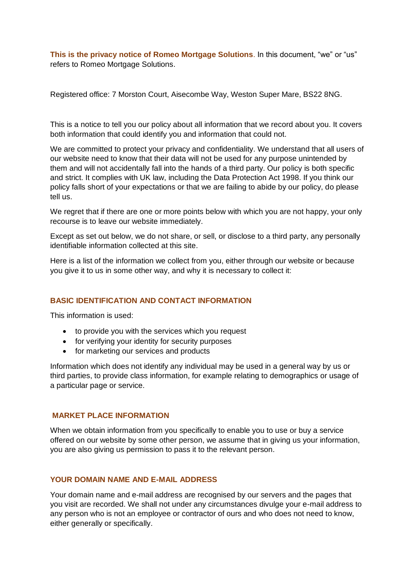**This is the privacy notice of Romeo Mortgage Solutions**. In this document, "we" or "us" refers to Romeo Mortgage Solutions.

Registered office: 7 Morston Court, Aisecombe Way, Weston Super Mare, BS22 8NG.

This is a notice to tell you our policy about all information that we record about you. It covers both information that could identify you and information that could not.

We are committed to protect your privacy and confidentiality. We understand that all users of our website need to know that their data will not be used for any purpose unintended by them and will not accidentally fall into the hands of a third party. Our policy is both specific and strict. It complies with UK law, including the Data Protection Act 1998. If you think our policy falls short of your expectations or that we are failing to abide by our policy, do please tell us.

We regret that if there are one or more points below with which you are not happy, your only recourse is to leave our website immediately.

Except as set out below, we do not share, or sell, or disclose to a third party, any personally identifiable information collected at this site.

Here is a list of the information we collect from you, either through our website or because you give it to us in some other way, and why it is necessary to collect it:

# **BASIC IDENTIFICATION AND CONTACT INFORMATION**

This information is used:

- to provide you with the services which you request
- for verifying your identity for security purposes
- for marketing our services and products

Information which does not identify any individual may be used in a general way by us or third parties, to provide class information, for example relating to demographics or usage of a particular page or service.

# **MARKET PLACE INFORMATION**

When we obtain information from you specifically to enable you to use or buy a service offered on our website by some other person, we assume that in giving us your information, you are also giving us permission to pass it to the relevant person.

## **YOUR DOMAIN NAME AND E-MAIL ADDRESS**

Your domain name and e-mail address are recognised by our servers and the pages that you visit are recorded. We shall not under any circumstances divulge your e-mail address to any person who is not an employee or contractor of ours and who does not need to know, either generally or specifically.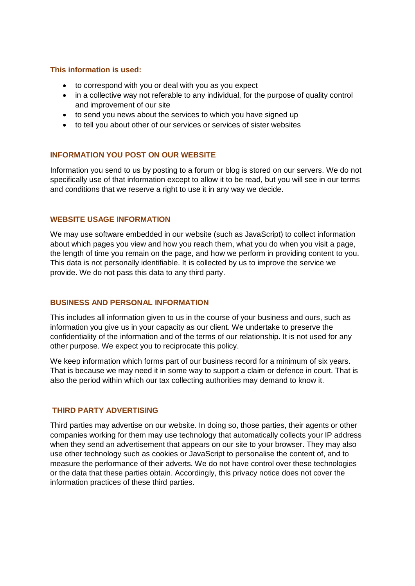# **This information is used:**

- to correspond with you or deal with you as you expect
- in a collective way not referable to any individual, for the purpose of quality control and improvement of our site
- to send you news about the services to which you have signed up
- to tell you about other of our services or services of sister websites

# **INFORMATION YOU POST ON OUR WEBSITE**

Information you send to us by posting to a forum or blog is stored on our servers. We do not specifically use of that information except to allow it to be read, but you will see in our terms and conditions that we reserve a right to use it in any way we decide.

# **WEBSITE USAGE INFORMATION**

We may use software embedded in our website (such as JavaScript) to collect information about which pages you view and how you reach them, what you do when you visit a page, the length of time you remain on the page, and how we perform in providing content to you. This data is not personally identifiable. It is collected by us to improve the service we provide. We do not pass this data to any third party.

# **BUSINESS AND PERSONAL INFORMATION**

This includes all information given to us in the course of your business and ours, such as information you give us in your capacity as our client. We undertake to preserve the confidentiality of the information and of the terms of our relationship. It is not used for any other purpose. We expect you to reciprocate this policy.

We keep information which forms part of our business record for a minimum of six years. That is because we may need it in some way to support a claim or defence in court. That is also the period within which our tax collecting authorities may demand to know it.

# **THIRD PARTY ADVERTISING**

Third parties may advertise on our website. In doing so, those parties, their agents or other companies working for them may use technology that automatically collects your IP address when they send an advertisement that appears on our site to your browser. They may also use other technology such as cookies or JavaScript to personalise the content of, and to measure the performance of their adverts. We do not have control over these technologies or the data that these parties obtain. Accordingly, this privacy notice does not cover the information practices of these third parties.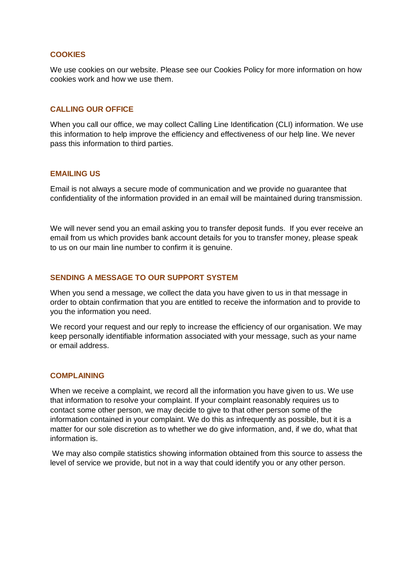### **COOKIES**

We use cookies on our website. Please see our Cookies Policy for more information on how cookies work and how we use them.

#### **CALLING OUR OFFICE**

When you call our office, we may collect Calling Line Identification (CLI) information. We use this information to help improve the efficiency and effectiveness of our help line. We never pass this information to third parties.

### **EMAILING US**

Email is not always a secure mode of communication and we provide no guarantee that confidentiality of the information provided in an email will be maintained during transmission.

We will never send you an email asking you to transfer deposit funds. If you ever receive an email from us which provides bank account details for you to transfer money, please speak to us on our main line number to confirm it is genuine.

#### **SENDING A MESSAGE TO OUR SUPPORT SYSTEM**

When you send a message, we collect the data you have given to us in that message in order to obtain confirmation that you are entitled to receive the information and to provide to you the information you need.

We record your request and our reply to increase the efficiency of our organisation. We may keep personally identifiable information associated with your message, such as your name or email address.

### **COMPLAINING**

When we receive a complaint, we record all the information you have given to us. We use that information to resolve your complaint. If your complaint reasonably requires us to contact some other person, we may decide to give to that other person some of the information contained in your complaint. We do this as infrequently as possible, but it is a matter for our sole discretion as to whether we do give information, and, if we do, what that information is.

We may also compile statistics showing information obtained from this source to assess the level of service we provide, but not in a way that could identify you or any other person.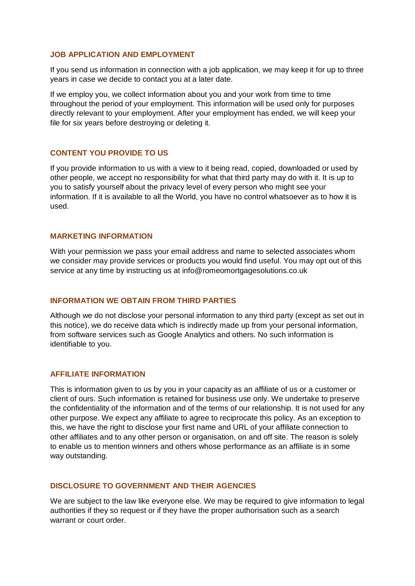### **JOB APPLICATION AND EMPLOYMENT**

If you send us information in connection with a job application, we may keep it for up to three years in case we decide to contact you at a later date.

If we employ you, we collect information about you and your work from time to time throughout the period of your employment. This information will be used only for purposes directly relevant to your employment. After your employment has ended, we will keep your file for six years before destroying or deleting it.

### **CONTENT YOU PROVIDE TO US**

If you provide information to us with a view to it being read, copied, downloaded or used by other people, we accept no responsibility for what that third party may do with it. It is up to you to satisfy yourself about the privacy level of every person who might see your information. If it is available to all the World, you have no control whatsoever as to how it is used.

#### **MARKETING INFORMATION**

With your permission we pass your email address and name to selected associates whom we consider may provide services or products you would find useful. You may opt out of this service at any time by instructing us at info@romeomortgagesolutions.co.uk

### **INFORMATION WE OBTAIN FROM THIRD PARTIES**

Although we do not disclose your personal information to any third party (except as set out in this notice), we do receive data which is indirectly made up from your personal information, from software services such as Google Analytics and others. No such information is identifiable to you.

### **AFFILIATE INFORMATION**

This is information given to us by you in your capacity as an affiliate of us or a customer or client of ours. Such information is retained for business use only. We undertake to preserve the confidentiality of the information and of the terms of our relationship. It is not used for any other purpose. We expect any affiliate to agree to reciprocate this policy. As an exception to this, we have the right to disclose your first name and URL of your affiliate connection to other affiliates and to any other person or organisation, on and off site. The reason is solely to enable us to mention winners and others whose performance as an affiliate is in some way outstanding.

## **DISCLOSURE TO GOVERNMENT AND THEIR AGENCIES**

We are subject to the law like everyone else. We may be required to give information to legal authorities if they so request or if they have the proper authorisation such as a search warrant or court order.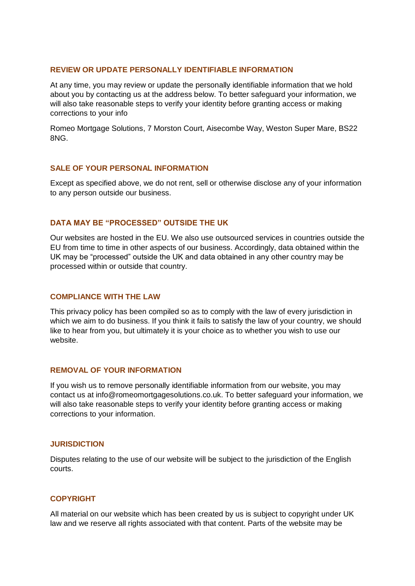### **REVIEW OR UPDATE PERSONALLY IDENTIFIABLE INFORMATION**

At any time, you may review or update the personally identifiable information that we hold about you by contacting us at the address below. To better safeguard your information, we will also take reasonable steps to verify your identity before granting access or making corrections to your info

Romeo Mortgage Solutions, 7 Morston Court, Aisecombe Way, Weston Super Mare, BS22 8NG.

# **SALE OF YOUR PERSONAL INFORMATION**

Except as specified above, we do not rent, sell or otherwise disclose any of your information to any person outside our business.

### **DATA MAY BE "PROCESSED" OUTSIDE THE UK**

Our websites are hosted in the EU. We also use outsourced services in countries outside the EU from time to time in other aspects of our business. Accordingly, data obtained within the UK may be "processed" outside the UK and data obtained in any other country may be processed within or outside that country.

### **COMPLIANCE WITH THE LAW**

This privacy policy has been compiled so as to comply with the law of every jurisdiction in which we aim to do business. If you think it fails to satisfy the law of your country, we should like to hear from you, but ultimately it is your choice as to whether you wish to use our website.

### **REMOVAL OF YOUR INFORMATION**

If you wish us to remove personally identifiable information from our website, you may contact us at info@romeomortgagesolutions.co.uk. To better safeguard your information, we will also take reasonable steps to verify your identity before granting access or making corrections to your information.

### **JURISDICTION**

Disputes relating to the use of our website will be subject to the jurisdiction of the English courts.

# **COPYRIGHT**

All material on our website which has been created by us is subject to copyright under UK law and we reserve all rights associated with that content. Parts of the website may be